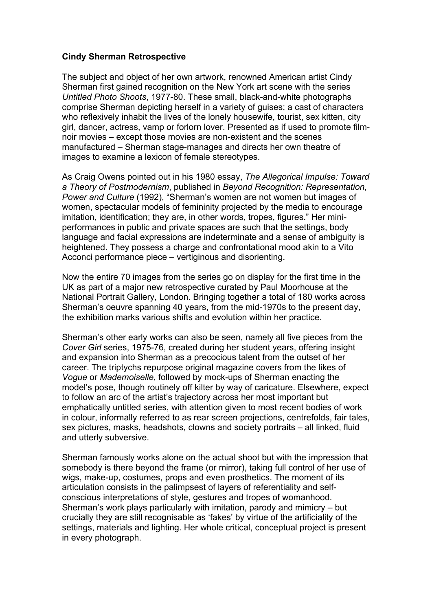## **Cindy Sherman Retrospective**

The subject and object of her own artwork, renowned American artist Cindy Sherman first gained recognition on the New York art scene with the series *Untitled Photo Shoots*, 1977-80. These small, black-and-white photographs comprise Sherman depicting herself in a variety of guises; a cast of characters who reflexively inhabit the lives of the lonely housewife, tourist, sex kitten, city girl, dancer, actress, vamp or forlorn lover. Presented as if used to promote filmnoir movies – except those movies are non-existent and the scenes manufactured – Sherman stage-manages and directs her own theatre of images to examine a lexicon of female stereotypes.

As Craig Owens pointed out in his 1980 essay, *The Allegorical Impulse: Toward a Theory of Postmodernism*, published in *Beyond Recognition: Representation, Power and Culture* (1992), "Sherman's women are not women but images of women, spectacular models of femininity projected by the media to encourage imitation, identification; they are, in other words, tropes, figures." Her miniperformances in public and private spaces are such that the settings, body language and facial expressions are indeterminate and a sense of ambiguity is heightened. They possess a charge and confrontational mood akin to a Vito Acconci performance piece – vertiginous and disorienting.

Now the entire 70 images from the series go on display for the first time in the UK as part of a major new retrospective curated by Paul Moorhouse at the National Portrait Gallery, London. Bringing together a total of 180 works across Sherman's oeuvre spanning 40 years, from the mid-1970s to the present day, the exhibition marks various shifts and evolution within her practice.

Sherman's other early works can also be seen, namely all five pieces from the *Cover Girl* series, 1975-76, created during her student years, offering insight and expansion into Sherman as a precocious talent from the outset of her career. The triptychs repurpose original magazine covers from the likes of *Vogue* or *Mademoiselle*, followed by mock-ups of Sherman enacting the model's pose, though routinely off kilter by way of caricature. Elsewhere, expect to follow an arc of the artist's trajectory across her most important but emphatically untitled series, with attention given to most recent bodies of work in colour, informally referred to as rear screen projections, centrefolds, fair tales, sex pictures, masks, headshots, clowns and society portraits – all linked, fluid and utterly subversive.

Sherman famously works alone on the actual shoot but with the impression that somebody is there beyond the frame (or mirror), taking full control of her use of wigs, make-up, costumes, props and even prosthetics. The moment of its articulation consists in the palimpsest of layers of referentiality and selfconscious interpretations of style, gestures and tropes of womanhood. Sherman's work plays particularly with imitation, parody and mimicry – but crucially they are still recognisable as 'fakes' by virtue of the artificiality of the settings, materials and lighting. Her whole critical, conceptual project is present in every photograph.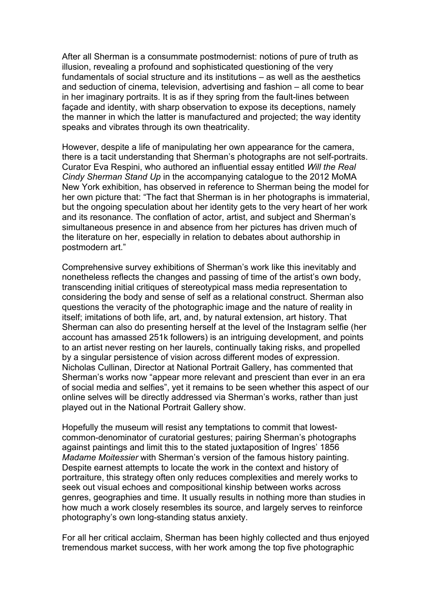After all Sherman is a consummate postmodernist: notions of pure of truth as illusion, revealing a profound and sophisticated questioning of the very fundamentals of social structure and its institutions – as well as the aesthetics and seduction of cinema, television, advertising and fashion – all come to bear in her imaginary portraits. It is as if they spring from the fault-lines between façade and identity, with sharp observation to expose its deceptions, namely the manner in which the latter is manufactured and projected; the way identity speaks and vibrates through its own theatricality.

However, despite a life of manipulating her own appearance for the camera, there is a tacit understanding that Sherman's photographs are not self-portraits. Curator Eva Respini, who authored an influential essay entitled *Will the Real Cindy Sherman Stand Up* in the accompanying catalogue to the 2012 MoMA New York exhibition, has observed in reference to Sherman being the model for her own picture that: "The fact that Sherman is in her photographs is immaterial, but the ongoing speculation about her identity gets to the very heart of her work and its resonance. The conflation of actor, artist, and subject and Sherman's simultaneous presence in and absence from her pictures has driven much of the literature on her, especially in relation to debates about authorship in postmodern art."

Comprehensive survey exhibitions of Sherman's work like this inevitably and nonetheless reflects the changes and passing of time of the artist's own body, transcending initial critiques of stereotypical mass media representation to considering the body and sense of self as a relational construct. Sherman also questions the veracity of the photographic image and the nature of reality in itself; imitations of both life, art, and, by natural extension, art history. That Sherman can also do presenting herself at the level of the Instagram selfie (her account has amassed 251k followers) is an intriguing development, and points to an artist never resting on her laurels, continually taking risks, and propelled by a singular persistence of vision across different modes of expression. Nicholas Cullinan, Director at National Portrait Gallery, has commented that Sherman's works now "appear more relevant and prescient than ever in an era of social media and selfies", yet it remains to be seen whether this aspect of our online selves will be directly addressed via Sherman's works, rather than just played out in the National Portrait Gallery show.

Hopefully the museum will resist any temptations to commit that lowestcommon-denominator of curatorial gestures; pairing Sherman's photographs against paintings and limit this to the stated juxtaposition of Ingres' 1856 *Madame Moitessier* with Sherman's version of the famous history painting. Despite earnest attempts to locate the work in the context and history of portraiture, this strategy often only reduces complexities and merely works to seek out visual echoes and compositional kinship between works across genres, geographies and time. It usually results in nothing more than studies in how much a work closely resembles its source, and largely serves to reinforce photography's own long-standing status anxiety.

For all her critical acclaim, Sherman has been highly collected and thus enjoyed tremendous market success, with her work among the top five photographic